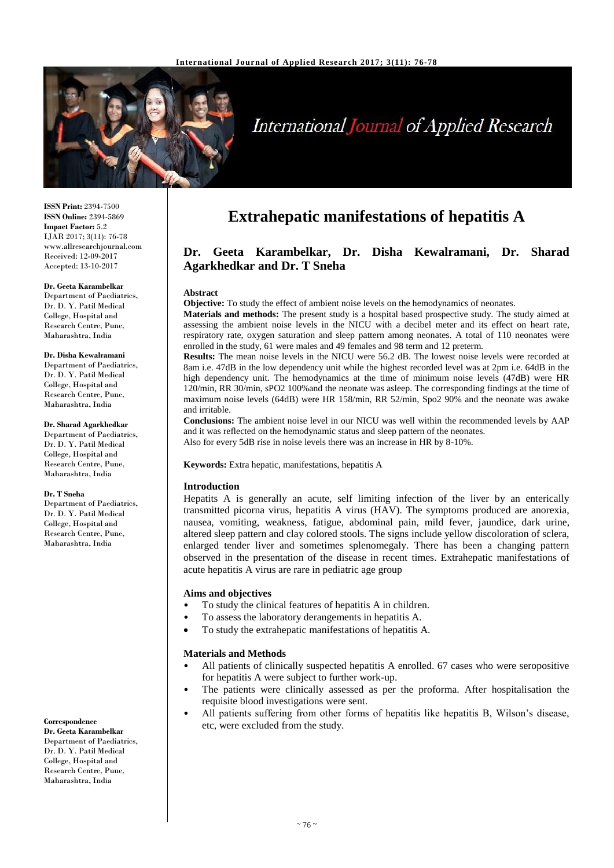

# International Journal of Applied Research

**ISSN Print:** 2394-7500 **ISSN Online:** 2394-5869 **Impact Factor:** 5.2 IJAR 2017; 3(11): 76-78 www.allresearchjournal.com Received: 12-09-2017 Accepted: 13-10-2017

#### **Dr. Geeta Karambelkar**

Department of Paediatrics, Dr. D. Y. Patil Medical College, Hospital and Research Centre, Pune, Maharashtra, India

#### **Dr. Disha Kewalramani**

Department of Paediatrics, Dr. D. Y. Patil Medical College, Hospital and Research Centre, Pune, Maharashtra, India

#### **Dr. Sharad Agarkhedkar**

Department of Paediatrics, Dr. D. Y. Patil Medical College, Hospital and Research Centre, Pune, Maharashtra, India

#### **Dr. T Sneha**

Department of Paediatrics, Dr. D. Y. Patil Medical College, Hospital and Research Centre, Pune, Maharashtra, India

#### **Correspondence**

**Dr. Geeta Karambelkar** Department of Paediatrics, Dr. D. Y. Patil Medical College, Hospital and Research Centre, Pune, Maharashtra, India

# **Extrahepatic manifestations of hepatitis A**

# **Dr. Geeta Karambelkar, Dr. Disha Kewalramani, Dr. Sharad Agarkhedkar and Dr. T Sneha**

#### **Abstract**

**Objective:** To study the effect of ambient noise levels on the hemodynamics of neonates.

**Materials and methods:** The present study is a hospital based prospective study. The study aimed at assessing the ambient noise levels in the NICU with a decibel meter and its effect on heart rate, respiratory rate, oxygen saturation and sleep pattern among neonates. A total of 110 neonates were enrolled in the study, 61 were males and 49 females and 98 term and 12 preterm.

**Results:** The mean noise levels in the NICU were 56.2 dB. The lowest noise levels were recorded at 8am i.e. 47dB in the low dependency unit while the highest recorded level was at 2pm i.e. 64dB in the high dependency unit. The hemodynamics at the time of minimum noise levels (47dB) were HR 120/min, RR 30/min, sPO2 100%and the neonate was asleep. The corresponding findings at the time of maximum noise levels (64dB) were HR 158/min, RR 52/min, Spo2 90% and the neonate was awake and irritable.

**Conclusions:** The ambient noise level in our NICU was well within the recommended levels by AAP and it was reflected on the hemodynamic status and sleep pattern of the neonates. Also for every 5dB rise in noise levels there was an increase in HR by 8-10%.

**Keywords:** Extra hepatic, manifestations, hepatitis A

#### **Introduction**

Hepatits A is generally an acute, self limiting infection of the liver by an enterically transmitted picorna virus, hepatitis A virus (HAV). The symptoms produced are anorexia, nausea, vomiting, weakness, fatigue, abdominal pain, mild fever, jaundice, dark urine, altered sleep pattern and clay colored stools. The signs include yellow discoloration of sclera, enlarged tender liver and sometimes splenomegaly. There has been a changing pattern observed in the presentation of the disease in recent times. Extrahepatic manifestations of acute hepatitis A virus are rare in pediatric age group

#### **Aims and objectives**

- To study the clinical features of hepatitis A in children.
- To assess the laboratory derangements in hepatitis A.
- To study the extrahepatic manifestations of hepatitis A.

#### **Materials and Methods**

- All patients of clinically suspected hepatitis A enrolled. 67 cases who were seropositive for hepatitis A were subject to further work-up.
- The patients were clinically assessed as per the proforma. After hospitalisation the requisite blood investigations were sent.
- All patients suffering from other forms of hepatitis like hepatitis B, Wilson's disease, etc, were excluded from the study.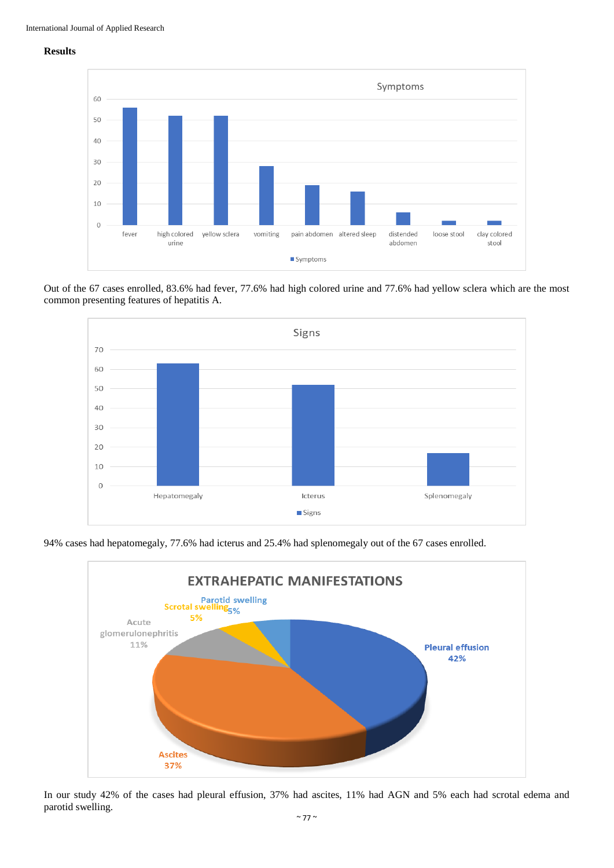### **Results**



Out of the 67 cases enrolled, 83.6% had fever, 77.6% had high colored urine and 77.6% had yellow sclera which are the most common presenting features of hepatitis A.



94% cases had hepatomegaly, 77.6% had icterus and 25.4% had splenomegaly out of the 67 cases enrolled.



In our study 42% of the cases had pleural effusion, 37% had ascites, 11% had AGN and 5% each had scrotal edema and parotid swelling.